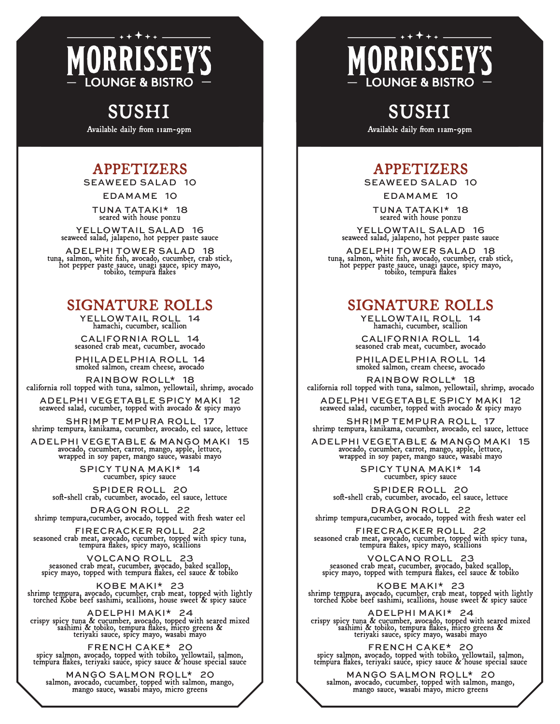## MORRISS E **OUNGE & BISTRO**

# SUSHI

Available daily from 11am-9pm

## APPETIZERS

SEAWEED SALAD 10

EDAMAME 10

TUNA TATAKI\* 18 seared with house ponzu

YELLOWTAIL SALAD 16 seaweed salad, jalapeno, hot pepper paste sauce

ADELPHI TOWER SALAD 18 tuna, salmon, white fish, avocado, cucumber, crab stick, hot pepper paste sauce, unagi sauce, spicy mayo, tobiko, tempura flakes

#### SIGNATURE ROLLS

YELLOWTAIL ROLL 14 hamachi, cucumber, scallion

CALIFORNIA ROLL 14 seasoned crab meat, cucumber, avocado

PHILADELPHIA ROLL 14 smoked salmon, cream cheese, avocado

RAINBOW ROLL\* 18 california roll topped with tuna, salmon, yellowtail, shrimp, avocado

ADELPHI VEGETABLE SPICY MAKI 12 seaweed salad, cucumber, topped with avocado & spicy mayo

SHRIMP TEMPURA ROLL 17 shrimp tempura, kanikama, cucumber, avocado, eel sauce, lettuce

ADELPHI VEGETABLE & MANGO MAKI 15 avocado, cucumber, carrot, mango, apple, lettuce, wrapped in soy paper, mango sauce, wasabi mayo

> SPICY TUNA MAKI\* 14 cucumber, spicy sauce

SPIDER ROLL 20 soft-shell crab, cucumber, avocado, eel sauce, lettuce

DRAGON ROLL 22 shrimp tempura,cucumber, avocado, topped with fresh water eel

FIRECRACKER ROLL 22 seasoned crab meat, avocado, cucumber, topped with spicy tuna, tempura flakes, spicy mayo, scallions

VOLCANO ROLL 23 seasoned crab meat, cucumber, avocado, baked scallop, spicy mayo, topped with tempura flakes, eel sauce & tobiko

KOBE MAKI\* 23 shrimp tempura, avocado, cucumber, crab meat, topped with lightly torched Kobe beef sashimi, scallions, house sweet & spicy sauce

ADELPHI MAKI\* 24 crispy spicy tuna & cucumber, avocado, topped with seared mixed sashimi & tobiko, tempura flakes, micro greens & teriyaki sauce, spicy mayo, wasabi mayo

FRENCH CAKE\* 20 spicy salmon, avocado, topped with tobiko, yellowtail, salmon, tempura flakes, teriyaki sauce, spicy sauce & house special sauce

MANGO SALMON ROLL\* 20 salmon, avocado, cucumber, topped with salmon, mango, mango sauce, wasabi mayo, micro greens